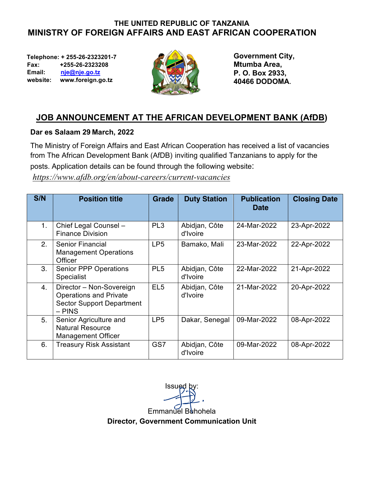# **THE UNITED REPUBLIC OF TANZANIA MINISTRY OF FOREIGN AFFAIRS AND EAST AFRICAN COOPERATION**

 **Telephone: + 255-26-2323201-7 Fax: +255-26-2323208 Email: nje@nje.go.tz website: www.foreign.go.tz** 



**Government City, Mtumba Area, P. O. Box 2933, 40466 DODOMA.**

# **JOB ANNOUNCEMENT AT THE AFRICAN DEVELOPMENT BANK (AfDB)**

## **Dar es Salaam 29 March, 2022**

The Ministry of Foreign Affairs and East African Cooperation has received a list of vacancies from The African Development Bank (AfDB) inviting qualified Tanzanians to apply for the posts. Application details can be found through the following website:

*https://www.afdb.org/en/about-careers/current-vacancies*

| S/N | <b>Position title</b>                                                                                     | <b>Grade</b>    | <b>Duty Station</b>       | <b>Publication</b><br>Date | <b>Closing Date</b> |
|-----|-----------------------------------------------------------------------------------------------------------|-----------------|---------------------------|----------------------------|---------------------|
| 1.  | Chief Legal Counsel -<br><b>Finance Division</b>                                                          | PL <sub>3</sub> | Abidjan, Côte<br>d'Ivoire | 24-Mar-2022                | 23-Apr-2022         |
| 2.  | <b>Senior Financial</b><br><b>Management Operations</b><br>Officer                                        | LP <sub>5</sub> | Bamako, Mali              | 23-Mar-2022                | 22-Apr-2022         |
| 3.  | <b>Senior PPP Operations</b><br>Specialist                                                                | PL <sub>5</sub> | Abidjan, Côte<br>d'Ivoire | 22-Mar-2022                | 21-Apr-2022         |
| 4.  | Director - Non-Sovereign<br><b>Operations and Private</b><br><b>Sector Support Department</b><br>$-$ PINS | EL <sub>5</sub> | Abidjan, Côte<br>d'Ivoire | 21-Mar-2022                | 20-Apr-2022         |
| 5.  | Senior Agriculture and<br><b>Natural Resource</b><br><b>Management Officer</b>                            | LP <sub>5</sub> | Dakar, Senegal            | 09-Mar-2022                | 08-Apr-2022         |
| 6.  | <b>Treasury Risk Assistant</b>                                                                            | GS7             | Abidjan, Côte<br>d'Ivoire | 09-Mar-2022                | 08-Apr-2022         |

**Issued** Emmanuel Buhohela **Director, Government Communication Unit**